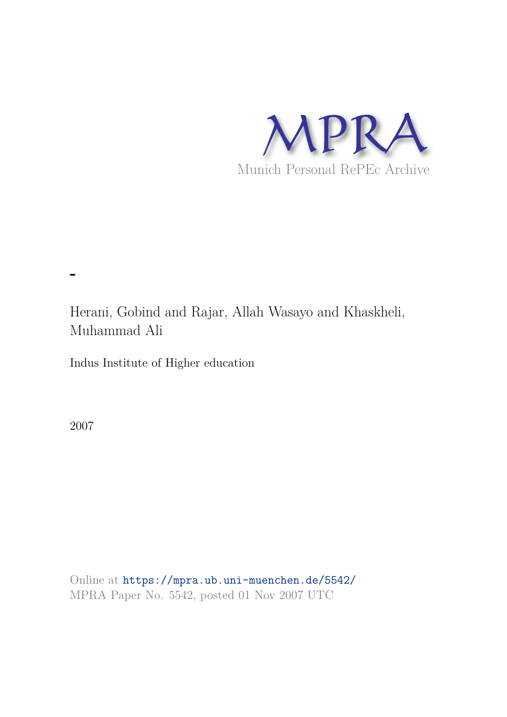

Herani, Gobind and Rajar, Allah Wasayo and Khaskheli, Muhammad Ali

Indus Institute of Higher education

2007

**-**

Online at https://mpra.ub.uni-muenchen.de/5542/ MPRA Paper No. 5542, posted 01 Nov 2007 UTC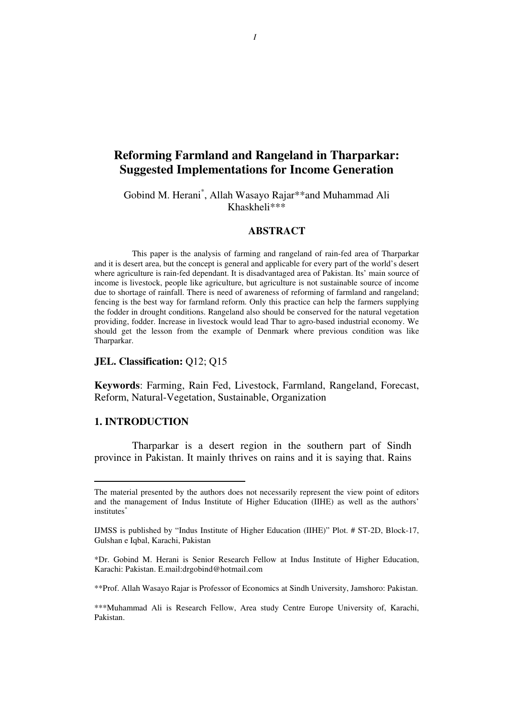# **Reforming Farmland and Rangeland in Tharparkar: Suggested Implementations for Income Generation**

## Gobind M. Herani\* , Allah Wasayo Rajar\*\*and Muhammad Ali Khaskheli\*\*\*

#### **ABSTRACT**

This paper is the analysis of farming and rangeland of rain-fed area of Tharparkar and it is desert area, but the concept is general and applicable for every part of the world's desert where agriculture is rain-fed dependant. It is disadvantaged area of Pakistan. Its' main source of income is livestock, people like agriculture, but agriculture is not sustainable source of income due to shortage of rainfall. There is need of awareness of reforming of farmland and rangeland; fencing is the best way for farmland reform. Only this practice can help the farmers supplying the fodder in drought conditions. Rangeland also should be conserved for the natural vegetation providing, fodder. Increase in livestock would lead Thar to agro-based industrial economy. We should get the lesson from the example of Denmark where previous condition was like Tharparkar.

#### **JEL. Classification:** Q12; Q15

**Keywords**: Farming, Rain Fed, Livestock, Farmland, Rangeland, Forecast, Reform, Natural-Vegetation, Sustainable, Organization

#### **1. INTRODUCTION**

 $\overline{a}$ 

Tharparkar is a desert region in the southern part of Sindh province in Pakistan. It mainly thrives on rains and it is saying that. Rains

The material presented by the authors does not necessarily represent the view point of editors and the management of Indus Institute of Higher Education (IIHE) as well as the authors' institutes<sup>\*</sup>

IJMSS is published by "Indus Institute of Higher Education (IIHE)" Plot. # ST-2D, Block-17, Gulshan e Iqbal, Karachi, Pakistan

<sup>\*</sup>Dr. Gobind M. Herani is Senior Research Fellow at Indus Institute of Higher Education, Karachi: Pakistan. E.mail:drgobind@hotmail.com

<sup>\*\*</sup>Prof. Allah Wasayo Rajar is Professor of Economics at Sindh University, Jamshoro: Pakistan.

<sup>\*\*\*</sup>Muhammad Ali is Research Fellow, Area study Centre Europe University of, Karachi, Pakistan.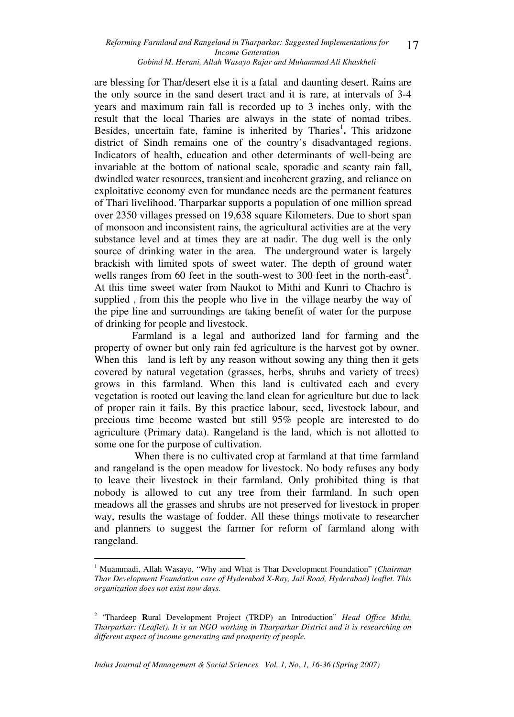are blessing for Thar/desert else it is a fatal and daunting desert. Rains are the only source in the sand desert tract and it is rare, at intervals of 3-4 years and maximum rain fall is recorded up to 3 inches only, with the result that the local Tharies are always in the state of nomad tribes. Besides, uncertain fate, famine is inherited by Tharies<sup>1</sup>. This aridzone district of Sindh remains one of the country's disadvantaged regions. Indicators of health, education and other determinants of well-being are invariable at the bottom of national scale, sporadic and scanty rain fall, dwindled water resources, transient and incoherent grazing, and reliance on exploitative economy even for mundance needs are the permanent features of Thari livelihood. Tharparkar supports a population of one million spread over 2350 villages pressed on 19,638 square Kilometers. Due to short span of monsoon and inconsistent rains, the agricultural activities are at the very substance level and at times they are at nadir. The dug well is the only source of drinking water in the area. The underground water is largely brackish with limited spots of sweet water. The depth of ground water wells ranges from 60 feet in the south-west to 300 feet in the north-east<sup>2</sup>. At this time sweet water from Naukot to Mithi and Kunri to Chachro is supplied , from this the people who live in the village nearby the way of the pipe line and surroundings are taking benefit of water for the purpose of drinking for people and livestock.

Farmland is a legal and authorized land for farming and the property of owner but only rain fed agriculture is the harvest got by owner. When this land is left by any reason without sowing any thing then it gets covered by natural vegetation (grasses, herbs, shrubs and variety of trees) grows in this farmland. When this land is cultivated each and every vegetation is rooted out leaving the land clean for agriculture but due to lack of proper rain it fails. By this practice labour, seed, livestock labour, and precious time become wasted but still 95% people are interested to do agriculture (Primary data). Rangeland is the land, which is not allotted to some one for the purpose of cultivation.

 When there is no cultivated crop at farmland at that time farmland and rangeland is the open meadow for livestock. No body refuses any body to leave their livestock in their farmland. Only prohibited thing is that nobody is allowed to cut any tree from their farmland. In such open meadows all the grasses and shrubs are not preserved for livestock in proper way, results the wastage of fodder. All these things motivate to researcher and planners to suggest the farmer for reform of farmland along with rangeland.

 $\overline{a}$ 

<sup>&</sup>lt;sup>1</sup> Muammadi, Allah Wasayo, "Why and What is Thar Development Foundation" (Chairman *Thar Development Foundation care of Hyderabad X-Ray, Jail Road, Hyderabad) leaflet. This organization does not exist now days.* 

<sup>&</sup>lt;sup>2</sup> 'Thardeep Rural Development Project (TRDP) an Introduction" *Head Office Mithi*, *Tharparkar: (Leaflet). It is an NGO working in Tharparkar District and it is researching on different aspect of income generating and prosperity of people.*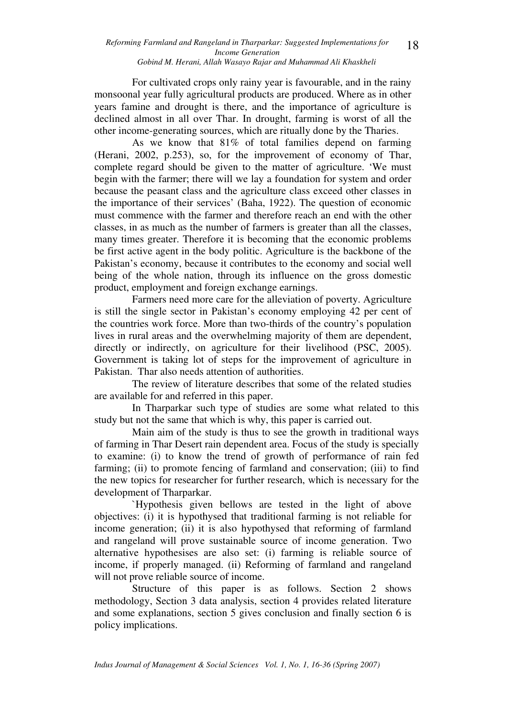For cultivated crops only rainy year is favourable, and in the rainy monsoonal year fully agricultural products are produced. Where as in other years famine and drought is there, and the importance of agriculture is declined almost in all over Thar. In drought, farming is worst of all the other income-generating sources, which are ritually done by the Tharies.

As we know that 81% of total families depend on farming (Herani, 2002, p.253), so, for the improvement of economy of Thar, complete regard should be given to the matter of agriculture. 'We must begin with the farmer; there will we lay a foundation for system and order because the peasant class and the agriculture class exceed other classes in the importance of their services' (Baha, 1922). The question of economic must commence with the farmer and therefore reach an end with the other classes, in as much as the number of farmers is greater than all the classes, many times greater. Therefore it is becoming that the economic problems be first active agent in the body politic. Agriculture is the backbone of the Pakistan's economy, because it contributes to the economy and social well being of the whole nation, through its influence on the gross domestic product, employment and foreign exchange earnings.

Farmers need more care for the alleviation of poverty. Agriculture is still the single sector in Pakistan's economy employing 42 per cent of the countries work force. More than two-thirds of the country's population lives in rural areas and the overwhelming majority of them are dependent, directly or indirectly, on agriculture for their livelihood (PSC, 2005). Government is taking lot of steps for the improvement of agriculture in Pakistan. Thar also needs attention of authorities.

 The review of literature describes that some of the related studies are available for and referred in this paper.

In Tharparkar such type of studies are some what related to this study but not the same that which is why, this paper is carried out.

Main aim of the study is thus to see the growth in traditional ways of farming in Thar Desert rain dependent area. Focus of the study is specially to examine: (i) to know the trend of growth of performance of rain fed farming; (ii) to promote fencing of farmland and conservation; (iii) to find the new topics for researcher for further research, which is necessary for the development of Tharparkar.

`Hypothesis given bellows are tested in the light of above objectives: (i) it is hypothysed that traditional farming is not reliable for income generation; (ii) it is also hypothysed that reforming of farmland and rangeland will prove sustainable source of income generation. Two alternative hypothesises are also set: (i) farming is reliable source of income, if properly managed. (ii) Reforming of farmland and rangeland will not prove reliable source of income.

Structure of this paper is as follows. Section 2 shows methodology, Section 3 data analysis, section 4 provides related literature and some explanations, section 5 gives conclusion and finally section 6 is policy implications.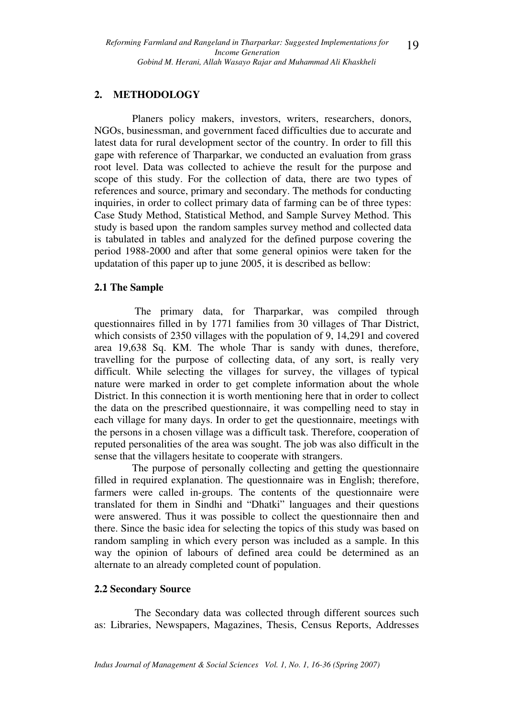## **2. METHODOLOGY**

Planers policy makers, investors, writers, researchers, donors, NGOs, businessman, and government faced difficulties due to accurate and latest data for rural development sector of the country. In order to fill this gape with reference of Tharparkar, we conducted an evaluation from grass root level. Data was collected to achieve the result for the purpose and scope of this study. For the collection of data, there are two types of references and source, primary and secondary. The methods for conducting inquiries, in order to collect primary data of farming can be of three types: Case Study Method, Statistical Method, and Sample Survey Method. This study is based upon the random samples survey method and collected data is tabulated in tables and analyzed for the defined purpose covering the period 1988-2000 and after that some general opinios were taken for the updatation of this paper up to june 2005, it is described as bellow:

### **2.1 The Sample**

 The primary data, for Tharparkar, was compiled through questionnaires filled in by 1771 families from 30 villages of Thar District, which consists of 2350 villages with the population of 9, 14,291 and covered area 19,638 Sq. KM. The whole Thar is sandy with dunes, therefore, travelling for the purpose of collecting data, of any sort, is really very difficult. While selecting the villages for survey, the villages of typical nature were marked in order to get complete information about the whole District. In this connection it is worth mentioning here that in order to collect the data on the prescribed questionnaire, it was compelling need to stay in each village for many days. In order to get the questionnaire, meetings with the persons in a chosen village was a difficult task. Therefore, cooperation of reputed personalities of the area was sought. The job was also difficult in the sense that the villagers hesitate to cooperate with strangers.

The purpose of personally collecting and getting the questionnaire filled in required explanation. The questionnaire was in English; therefore, farmers were called in-groups. The contents of the questionnaire were translated for them in Sindhi and "Dhatki" languages and their questions were answered. Thus it was possible to collect the questionnaire then and there. Since the basic idea for selecting the topics of this study was based on random sampling in which every person was included as a sample. In this way the opinion of labours of defined area could be determined as an alternate to an already completed count of population.

### **2.2 Secondary Source**

The Secondary data was collected through different sources such as: Libraries, Newspapers, Magazines, Thesis, Census Reports, Addresses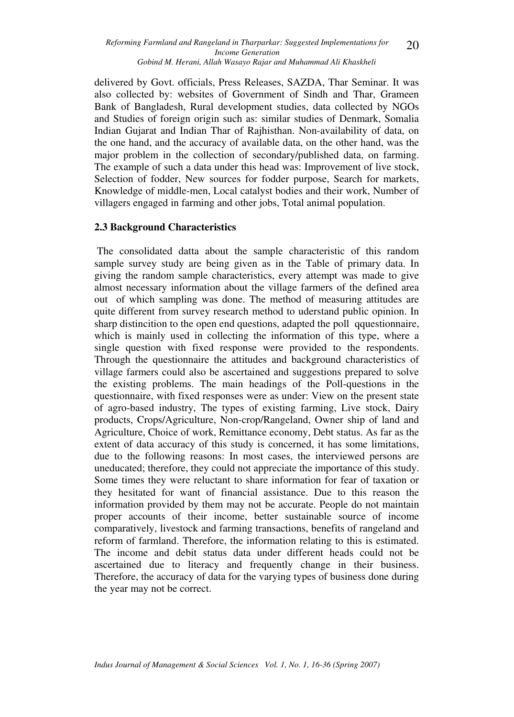delivered by Govt. officials, Press Releases, SAZDA, Thar Seminar. It was also collected by: websites of Government of Sindh and Thar, Grameen Bank of Bangladesh, Rural development studies, data collected by NGOs and Studies of foreign origin such as: similar studies of Denmark, Somalia Indian Gujarat and Indian Thar of Rajhisthan. Non-availability of data, on the one hand, and the accuracy of available data, on the other hand, was the major problem in the collection of secondary/published data, on farming. The example of such a data under this head was: Improvement of live stock, Selection of fodder, New sources for fodder purpose, Search for markets, Knowledge of middle-men, Local catalyst bodies and their work, Number of villagers engaged in farming and other jobs, Total animal population.

## **2.3 Background Characteristics**

The consolidated datta about the sample characteristic of this random sample survey study are being given as in the Table of primary data. In giving the random sample characteristics, every attempt was made to give almost necessary information about the village farmers of the defined area out of which sampling was done. The method of measuring attitudes are quite different from survey research method to uderstand public opinion. In sharp distincition to the open end questions, adapted the poll qquestionnaire, which is mainly used in collecting the information of this type, where a single question with fixed response were provided to the respondents. Through the questionnaire the attitudes and background characteristics of village farmers could also be ascertained and suggestions prepared to solve the existing problems. The main headings of the Poll-questions in the questionnaire, with fixed responses were as under: View on the present state of agro-based industry, The types of existing farming, Live stock, Dairy products, Crops/Agriculture, Non-crop/Rangeland, Owner ship of land and Agriculture, Choice of work, Remittance economy, Debt status. As far as the extent of data accuracy of this study is concerned, it has some limitations, due to the following reasons: In most cases, the interviewed persons are uneducated; therefore, they could not appreciate the importance of this study. Some times they were reluctant to share information for fear of taxation or they hesitated for want of financial assistance. Due to this reason the information provided by them may not be accurate. People do not maintain proper accounts of their income, better sustainable source of income comparatively, livestock and farming transactions, benefits of rangeland and reform of farmland. Therefore, the information relating to this is estimated. The income and debit status data under different heads could not be ascertained due to literacy and frequently change in their business. Therefore, the accuracy of data for the varying types of business done during the year may not be correct.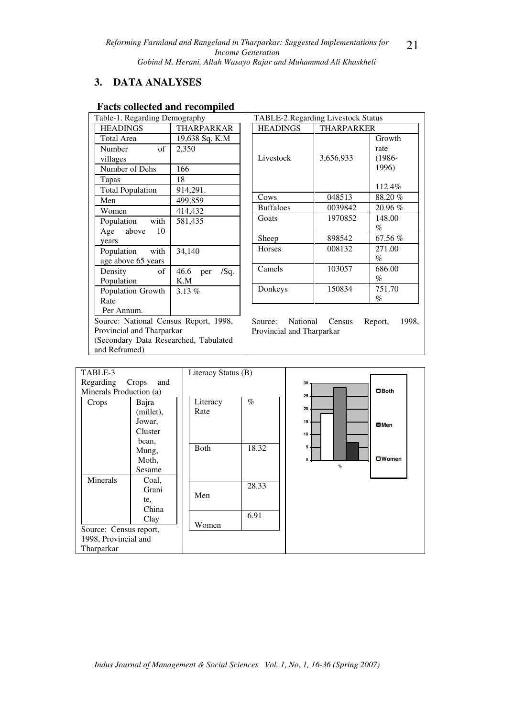## **3. DATA ANALYSES**

## **Facts collected and recompiled**

| Table-1. Regarding Demography         |                  |  |  |  |
|---------------------------------------|------------------|--|--|--|
| <b>HEADINGS</b>                       | THARPARKAR       |  |  |  |
| <b>Total Area</b>                     | 19,638 Sq. K.M   |  |  |  |
| Number<br>of                          | 2,350            |  |  |  |
| villages                              |                  |  |  |  |
| Number of Dehs                        | 166              |  |  |  |
| Tapas                                 | 18               |  |  |  |
| <b>Total Population</b>               | 914,291.         |  |  |  |
| Men                                   | 499,859          |  |  |  |
| Women                                 | 414,432          |  |  |  |
| Population with                       | 581,435          |  |  |  |
| 10<br>Age above                       |                  |  |  |  |
| years                                 |                  |  |  |  |
| Population with                       | 34,140           |  |  |  |
| age above 65 years                    |                  |  |  |  |
| Density<br>of                         | 46.6<br>per /Sq. |  |  |  |
| Population                            | K.M              |  |  |  |
| Population Growth                     | 3.13%            |  |  |  |
| Rate                                  |                  |  |  |  |
| Per Annum.                            |                  |  |  |  |
| Source: National Census Report, 1998, |                  |  |  |  |
| Provincial and Tharparkar             |                  |  |  |  |
| (Secondary Data Researched, Tabulated |                  |  |  |  |
| and Reframed)                         |                  |  |  |  |

| <b>TABLE-2.Regarding Livestock Status</b> |                   |                                      |  |
|-------------------------------------------|-------------------|--------------------------------------|--|
| <b>HEADINGS</b>                           | <b>THARPARKER</b> |                                      |  |
| Livestock                                 | 3,656,933         | Growth<br>rate<br>$(1986 -$<br>1996) |  |
|                                           |                   | 112.4%                               |  |
| Cows                                      | 048513            | 88.20%                               |  |
| <b>Buffaloes</b>                          | 0039842           | 20.96%                               |  |
| Goats                                     | 1970852           | 148.00                               |  |
|                                           |                   | %                                    |  |
| Sheep                                     | 898542            | 67.56%                               |  |
| Horses                                    | 008132            | 271.00                               |  |
|                                           |                   | $\%$                                 |  |
| Camels                                    | 103057            | 686.00<br>%                          |  |
| Donkeys                                   | 150834            | 751.70<br>$\%$                       |  |

Source: National Census Report, 1998, Provincial and Tharparkar

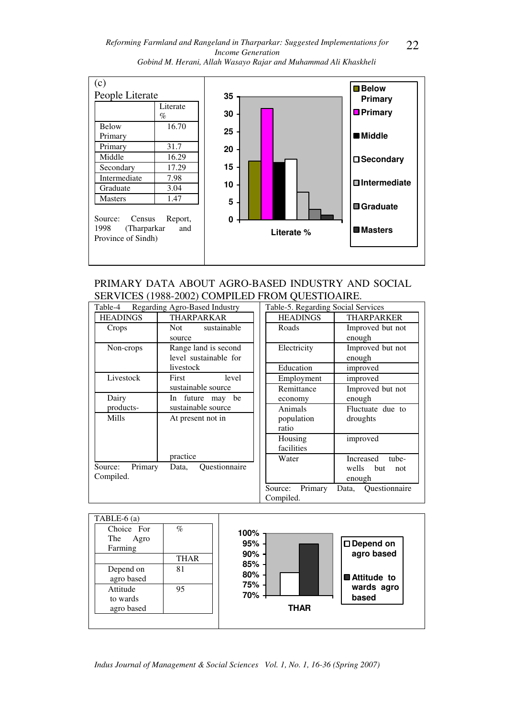*Reforming Farmland and Rangeland in Tharparkar: Suggested Implementations for Income Generation Gobind M. Herani, Allah Wasayo Rajar and Muhammad Ali Khaskheli*  22



## PRIMARY DATA ABOUT AGRO-BASED INDUSTRY AND SOCIAL SERVICES (1988-2002) COMPILED FROM QUESTIOAIRE.

| Regarding Agro-Based Industry<br>Table-4 |                        | Table-5. Regarding Social Services |                        |
|------------------------------------------|------------------------|------------------------------------|------------------------|
| <b>HEADINGS</b>                          | <b>THARPARKAR</b>      | <b>HEADINGS</b>                    | <b>THARPARKER</b>      |
| Crops                                    | sustainable<br>Not     | Roads                              | Improved but not       |
|                                          | source                 |                                    | enough                 |
| Non-crops                                | Range land is second   | Electricity                        | Improved but not       |
|                                          | level sustainable for  |                                    | enough                 |
|                                          | livestock              | Education                          | improved               |
| Livestock                                | level<br>First         | Employment                         | improved               |
|                                          | sustainable source     | Remittance                         | Improved but not       |
| Dairy                                    | In future may be       | economy                            | enough                 |
| products-                                | sustainable source     | Animals                            | Fluctuate due to       |
| Mills                                    | At present not in      | population                         | droughts               |
|                                          |                        | ratio                              |                        |
|                                          |                        | Housing                            | improved               |
|                                          |                        | facilities                         |                        |
|                                          | practice               | Water                              | Increased<br>tube-     |
| Source:<br>Primary                       | Ouestionnaire<br>Data, |                                    | wells<br>but<br>not    |
| Compiled.                                |                        |                                    | enough                 |
|                                          |                        | Primary<br>Source:                 | Ouestionnaire<br>Data, |
|                                          |                        | Compiled.                          |                        |



*Indus Journal of Management & Social Sciences Vol. 1, No. 1, 16-36 (Spring 2007)*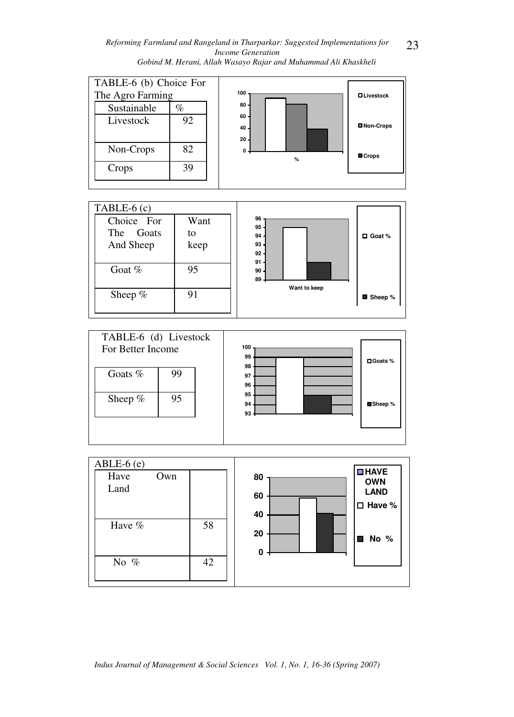*Reforming Farmland and Rangeland in Tharparkar: Suggested Implementations for Income Generation Gobind M. Herani, Allah Wasayo Rajar and Muhammad Ali Khaskheli* 

23







*Indus Journal of Management & Social Sciences Vol. 1, No. 1, 16-36 (Spring 2007)*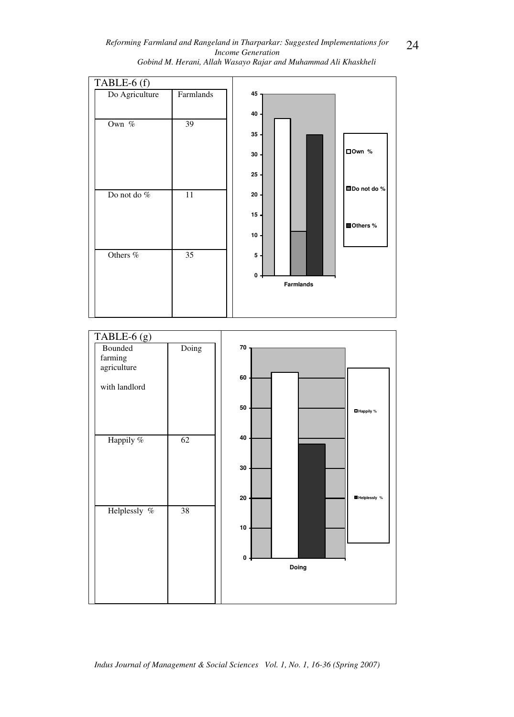



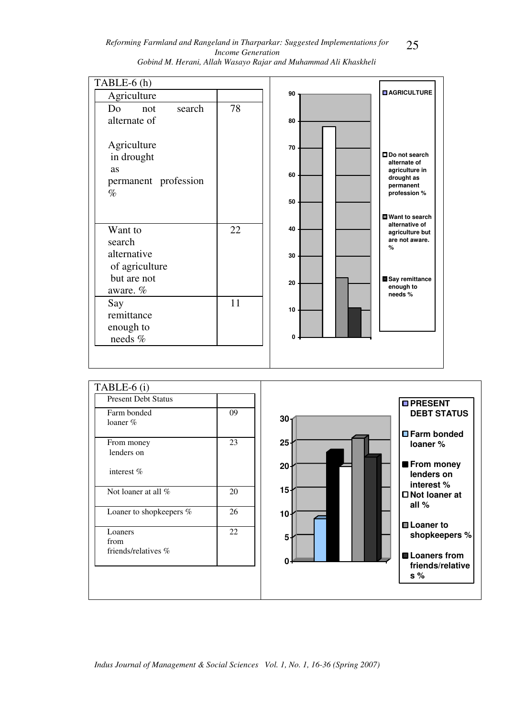| Reforming Farmland and Rangeland in Tharparkar: Suggested Implementations for | 25 |
|-------------------------------------------------------------------------------|----|
| <i>Income Generation</i>                                                      |    |
| Gobind M. Herani, Allah Wasayo Rajar and Muhammad Ali Khaskheli               |    |

| TABLE-6 (h)          |    |    |                                       |
|----------------------|----|----|---------------------------------------|
| Agriculture          |    | 90 | <b>DAGRICULTURE</b>                   |
| search<br>Do<br>not  | 78 |    |                                       |
| alternate of         |    | 80 |                                       |
|                      |    |    |                                       |
| Agriculture          |    | 70 |                                       |
| in drought           |    |    | <b>ODo not search</b><br>alternate of |
| as                   |    | 60 | agriculture in<br>drought as          |
| permanent profession |    |    | permanent                             |
| $\%$                 |    | 50 | profession %                          |
|                      |    |    | <b>■ Want to search</b>               |
| Want to              | 22 | 40 | alternative of                        |
| search               |    |    | agriculture but<br>are not aware.     |
| alternative          |    | 30 | $\%$                                  |
| of agriculture       |    |    |                                       |
| but are not          |    | 20 | Say remittance                        |
| aware. $%$           |    |    | enough to<br>needs%                   |
| Say                  | 11 | 10 |                                       |
| remittance           |    |    |                                       |
| enough to            |    | 0  |                                       |
| needs %              |    |    |                                       |
|                      |    |    |                                       |



*Indus Journal of Management & Social Sciences Vol. 1, No. 1, 16-36 (Spring 2007)*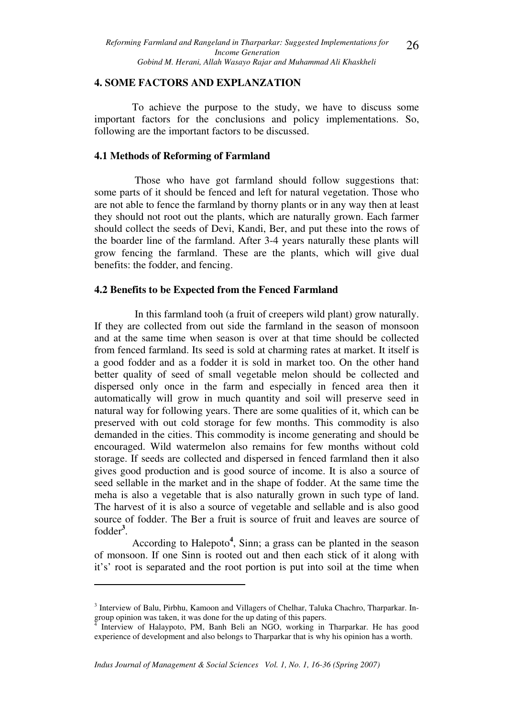### **4. SOME FACTORS AND EXPLANZATION**

To achieve the purpose to the study, we have to discuss some important factors for the conclusions and policy implementations. So, following are the important factors to be discussed.

#### **4.1 Methods of Reforming of Farmland**

 Those who have got farmland should follow suggestions that: some parts of it should be fenced and left for natural vegetation. Those who are not able to fence the farmland by thorny plants or in any way then at least they should not root out the plants, which are naturally grown. Each farmer should collect the seeds of Devi, Kandi, Ber, and put these into the rows of the boarder line of the farmland. After 3-4 years naturally these plants will grow fencing the farmland. These are the plants, which will give dual benefits: the fodder, and fencing.

### **4.2 Benefits to be Expected from the Fenced Farmland**

In this farmland tooh (a fruit of creepers wild plant) grow naturally. If they are collected from out side the farmland in the season of monsoon and at the same time when season is over at that time should be collected from fenced farmland. Its seed is sold at charming rates at market. It itself is a good fodder and as a fodder it is sold in market too. On the other hand better quality of seed of small vegetable melon should be collected and dispersed only once in the farm and especially in fenced area then it automatically will grow in much quantity and soil will preserve seed in natural way for following years. There are some qualities of it, which can be preserved with out cold storage for few months. This commodity is also demanded in the cities. This commodity is income generating and should be encouraged. Wild watermelon also remains for few months without cold storage. If seeds are collected and dispersed in fenced farmland then it also gives good production and is good source of income. It is also a source of seed sellable in the market and in the shape of fodder. At the same time the meha is also a vegetable that is also naturally grown in such type of land. The harvest of it is also a source of vegetable and sellable and is also good source of fodder. The Ber a fruit is source of fruit and leaves are source of fodder**<sup>3</sup>** .

According to Halepoto**<sup>4</sup>** , Sinn; a grass can be planted in the season of monsoon. If one Sinn is rooted out and then each stick of it along with it's' root is separated and the root portion is put into soil at the time when

 $\overline{a}$ 

<sup>&</sup>lt;sup>3</sup> Interview of Balu, Pirbhu, Kamoon and Villagers of Chelhar, Taluka Chachro, Tharparkar. Ingroup opinion was taken, it was done for the up dating of this papers.<br><sup>4</sup> Interview of Halaynoto, PM, Bank Beli, an NGO, working in

Interview of Halaypoto, PM, Banh Beli an NGO, working in Tharparkar. He has good experience of development and also belongs to Tharparkar that is why his opinion has a worth.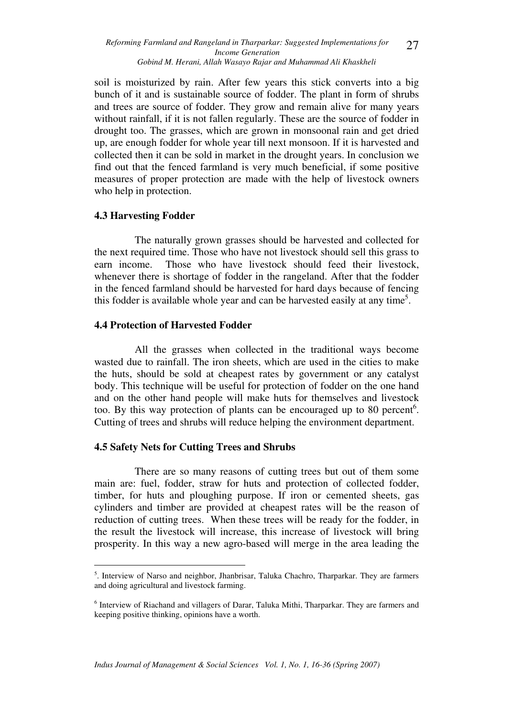soil is moisturized by rain. After few years this stick converts into a big bunch of it and is sustainable source of fodder. The plant in form of shrubs and trees are source of fodder. They grow and remain alive for many years without rainfall, if it is not fallen regularly. These are the source of fodder in drought too. The grasses, which are grown in monsoonal rain and get dried up, are enough fodder for whole year till next monsoon. If it is harvested and collected then it can be sold in market in the drought years. In conclusion we find out that the fenced farmland is very much beneficial, if some positive measures of proper protection are made with the help of livestock owners who help in protection.

## **4.3 Harvesting Fodder**

 The naturally grown grasses should be harvested and collected for the next required time. Those who have not livestock should sell this grass to earn income. Those who have livestock should feed their livestock, whenever there is shortage of fodder in the rangeland. After that the fodder in the fenced farmland should be harvested for hard days because of fencing this fodder is available whole year and can be harvested easily at any time<sup>5</sup>.

## **4.4 Protection of Harvested Fodder**

 All the grasses when collected in the traditional ways become wasted due to rainfall. The iron sheets, which are used in the cities to make the huts, should be sold at cheapest rates by government or any catalyst body. This technique will be useful for protection of fodder on the one hand and on the other hand people will make huts for themselves and livestock too. By this way protection of plants can be encouraged up to 80 percent<sup>6</sup>. Cutting of trees and shrubs will reduce helping the environment department.

## **4.5 Safety Nets for Cutting Trees and Shrubs**

 There are so many reasons of cutting trees but out of them some main are: fuel, fodder, straw for huts and protection of collected fodder, timber, for huts and ploughing purpose. If iron or cemented sheets, gas cylinders and timber are provided at cheapest rates will be the reason of reduction of cutting trees. When these trees will be ready for the fodder, in the result the livestock will increase, this increase of livestock will bring prosperity. In this way a new agro-based will merge in the area leading the

 $\overline{a}$ <sup>5</sup>. Interview of Narso and neighbor, Jhanbrisar, Taluka Chachro, Tharparkar. They are farmers and doing agricultural and livestock farming.

<sup>&</sup>lt;sup>6</sup> Interview of Riachand and villagers of Darar, Taluka Mithi, Tharparkar. They are farmers and keeping positive thinking, opinions have a worth.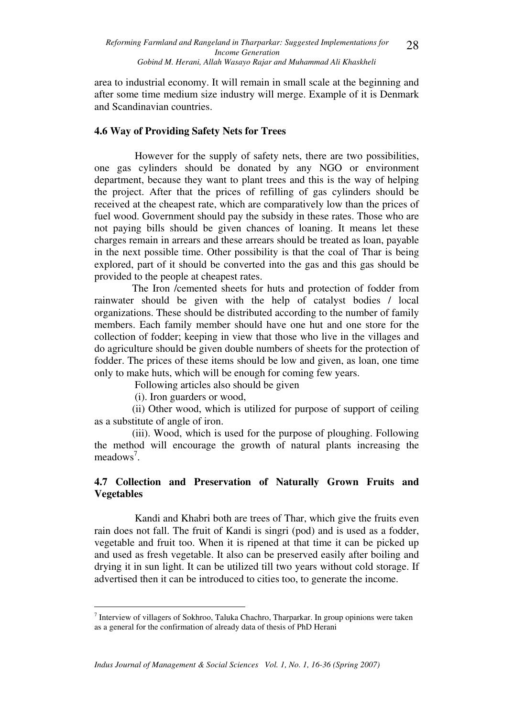area to industrial economy. It will remain in small scale at the beginning and after some time medium size industry will merge. Example of it is Denmark and Scandinavian countries.

### **4.6 Way of Providing Safety Nets for Trees**

 However for the supply of safety nets, there are two possibilities, one gas cylinders should be donated by any NGO or environment department, because they want to plant trees and this is the way of helping the project. After that the prices of refilling of gas cylinders should be received at the cheapest rate, which are comparatively low than the prices of fuel wood. Government should pay the subsidy in these rates. Those who are not paying bills should be given chances of loaning. It means let these charges remain in arrears and these arrears should be treated as loan, payable in the next possible time. Other possibility is that the coal of Thar is being explored, part of it should be converted into the gas and this gas should be provided to the people at cheapest rates.

The Iron /cemented sheets for huts and protection of fodder from rainwater should be given with the help of catalyst bodies / local organizations. These should be distributed according to the number of family members. Each family member should have one hut and one store for the collection of fodder; keeping in view that those who live in the villages and do agriculture should be given double numbers of sheets for the protection of fodder. The prices of these items should be low and given, as loan, one time only to make huts, which will be enough for coming few years.

Following articles also should be given

(i). Iron guarders or wood,

 $\overline{a}$ 

(ii) Other wood, which is utilized for purpose of support of ceiling as a substitute of angle of iron.

(iii). Wood, which is used for the purpose of ploughing. Following the method will encourage the growth of natural plants increasing the meadows<sup>7</sup>.

## **4.7 Collection and Preservation of Naturally Grown Fruits and Vegetables**

Kandi and Khabri both are trees of Thar, which give the fruits even rain does not fall. The fruit of Kandi is singri (pod) and is used as a fodder, vegetable and fruit too. When it is ripened at that time it can be picked up and used as fresh vegetable. It also can be preserved easily after boiling and drying it in sun light. It can be utilized till two years without cold storage. If advertised then it can be introduced to cities too, to generate the income.

 $^7$  Interview of villagers of Sokhroo, Taluka Chachro, Tharparkar. In group opinions were taken as a general for the confirmation of already data of thesis of PhD Herani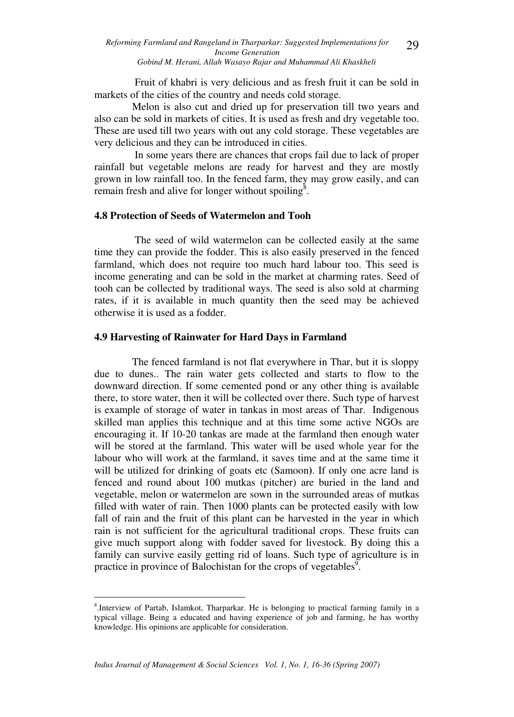Fruit of khabri is very delicious and as fresh fruit it can be sold in markets of the cities of the country and needs cold storage.

Melon is also cut and dried up for preservation till two years and also can be sold in markets of cities. It is used as fresh and dry vegetable too. These are used till two years with out any cold storage. These vegetables are very delicious and they can be introduced in cities.

 In some years there are chances that crops fail due to lack of proper rainfall but vegetable melons are ready for harvest and they are mostly grown in low rainfall too. In the fenced farm, they may grow easily, and can remain fresh and alive for longer without spoiling $\delta$ .

### **4.8 Protection of Seeds of Watermelon and Tooh**

The seed of wild watermelon can be collected easily at the same time they can provide the fodder. This is also easily preserved in the fenced farmland, which does not require too much hard labour too. This seed is income generating and can be sold in the market at charming rates. Seed of tooh can be collected by traditional ways. The seed is also sold at charming rates, if it is available in much quantity then the seed may be achieved otherwise it is used as a fodder.

#### **4.9 Harvesting of Rainwater for Hard Days in Farmland**

The fenced farmland is not flat everywhere in Thar, but it is sloppy due to dunes.. The rain water gets collected and starts to flow to the downward direction. If some cemented pond or any other thing is available there, to store water, then it will be collected over there. Such type of harvest is example of storage of water in tankas in most areas of Thar. Indigenous skilled man applies this technique and at this time some active NGOs are encouraging it. If 10-20 tankas are made at the farmland then enough water will be stored at the farmland. This water will be used whole year for the labour who will work at the farmland, it saves time and at the same time it will be utilized for drinking of goats etc (Samoon**)**. If only one acre land is fenced and round about 100 mutkas (pitcher) are buried in the land and vegetable, melon or watermelon are sown in the surrounded areas of mutkas filled with water of rain. Then 1000 plants can be protected easily with low fall of rain and the fruit of this plant can be harvested in the year in which rain is not sufficient for the agricultural traditional crops. These fruits can give much support along with fodder saved for livestock. By doing this a family can survive easily getting rid of loans. Such type of agriculture is in practice in province of Balochistan for the crops of vegetables $\overline{S}$ .

 $\overline{a}$ 

<sup>8</sup> .Interview of Partab, Islamkot, Tharparkar. He is belonging to practical farming family in a typical village. Being a educated and having experience of job and farming, he has worthy knowledge. His opinions are applicable for consideration.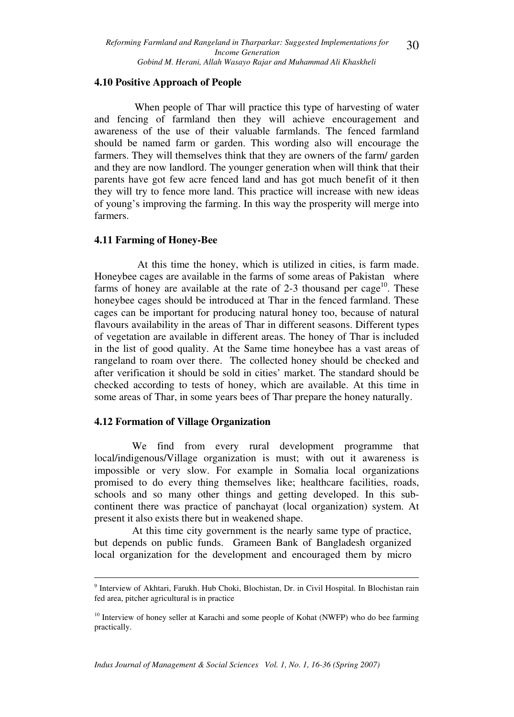### **4.10 Positive Approach of People**

When people of Thar will practice this type of harvesting of water and fencing of farmland then they will achieve encouragement and awareness of the use of their valuable farmlands. The fenced farmland should be named farm or garden. This wording also will encourage the farmers. They will themselves think that they are owners of the farm/ garden and they are now landlord. The younger generation when will think that their parents have got few acre fenced land and has got much benefit of it then they will try to fence more land. This practice will increase with new ideas of young's improving the farming. In this way the prosperity will merge into farmers.

#### **4.11 Farming of Honey-Bee**

At this time the honey, which is utilized in cities, is farm made. Honeybee cages are available in the farms of some areas of Pakistan where farms of honey are available at the rate of 2-3 thousand per cage<sup>10</sup>. These honeybee cages should be introduced at Thar in the fenced farmland. These cages can be important for producing natural honey too, because of natural flavours availability in the areas of Thar in different seasons. Different types of vegetation are available in different areas. The honey of Thar is included in the list of good quality. At the Same time honeybee has a vast areas of rangeland to roam over there. The collected honey should be checked and after verification it should be sold in cities' market. The standard should be checked according to tests of honey, which are available. At this time in some areas of Thar, in some years bees of Thar prepare the honey naturally.

### **4.12 Formation of Village Organization**

We find from every rural development programme that local/indigenous/Village organization is must; with out it awareness is impossible or very slow. For example in Somalia local organizations promised to do every thing themselves like; healthcare facilities, roads, schools and so many other things and getting developed. In this subcontinent there was practice of panchayat (local organization) system. At present it also exists there but in weakened shape.

At this time city government is the nearly same type of practice, but depends on public funds. Grameen Bank of Bangladesh organized local organization for the development and encouraged them by micro

 9 Interview of Akhtari, Farukh. Hub Choki, Blochistan, Dr. in Civil Hospital. In Blochistan rain fed area, pitcher agricultural is in practice

<sup>&</sup>lt;sup>10</sup> Interview of honey seller at Karachi and some people of Kohat (NWFP) who do bee farming practically.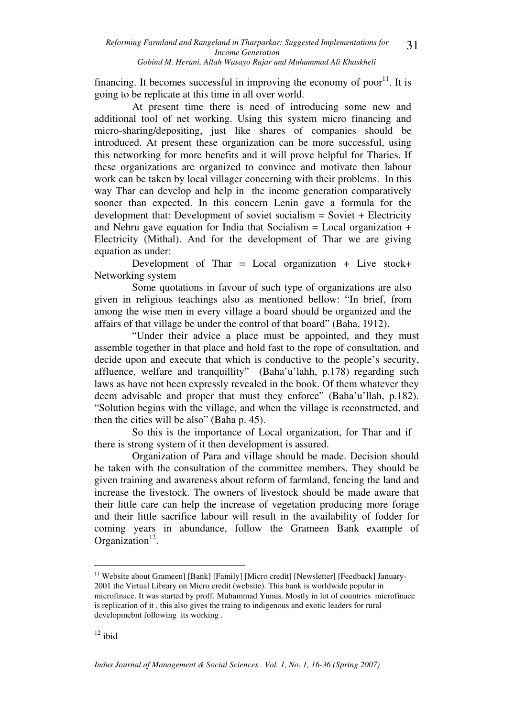financing. It becomes successful in improving the economy of poor<sup>11</sup>. It is going to be replicate at this time in all over world.

At present time there is need of introducing some new and additional tool of net working. Using this system micro financing and micro-sharing/depositing, just like shares of companies should be introduced. At present these organization can be more successful, using this networking for more benefits and it will prove helpful for Tharies. If these organizations are organized to convince and motivate then labour work can be taken by local villager concerning with their problems. In this way Thar can develop and help in the income generation comparatively sooner than expected. In this concern Lenin gave a formula for the development that: Development of soviet socialism = Soviet + Electricity and Nehru gave equation for India that Socialism  $=$  Local organization  $+$ Electricity (Mithal). And for the development of Thar we are giving equation as under:

Development of Thar = Local organization + Live stock+ Networking system

Some quotations in favour of such type of organizations are also given in religious teachings also as mentioned bellow: "In brief, from among the wise men in every village a board should be organized and the affairs of that village be under the control of that board" (Baha, 1912).

"Under their advice a place must be appointed, and they must assemble together in that place and hold fast to the rope of consultation, and decide upon and execute that which is conductive to the people's security, affluence, welfare and tranquillity" (Baha'u'lahh, p.178) regarding such laws as have not been expressly revealed in the book. Of them whatever they deem advisable and proper that must they enforce" (Baha'u'llah, p.182). "Solution begins with the village, and when the village is reconstructed, and then the cities will be also" (Baha p. 45).

So this is the importance of Local organization, for Thar and if there is strong system of it then development is assured.

Organization of Para and village should be made. Decision should be taken with the consultation of the committee members. They should be given training and awareness about reform of farmland, fencing the land and increase the livestock. The owners of livestock should be made aware that their little care can help the increase of vegetation producing more forage and their little sacrifice labour will result in the availability of fodder for coming years in abundance, follow the Grameen Bank example of Organization $12$ .

 $\overline{a}$ <sup>11</sup> Website about Grameen] [Bank] [Family] [Micro credit] [Newsletter] [Feedback] January-2001 the Virtual Library on Micro credit (website). This bank is worldwide popular in microfinace. It was started by proff. Muhammad Yunus. Mostly in lot of countries microfinace is replication of it , this also gives the traing to indigenous and exotic leaders for rural developmebnt following its working .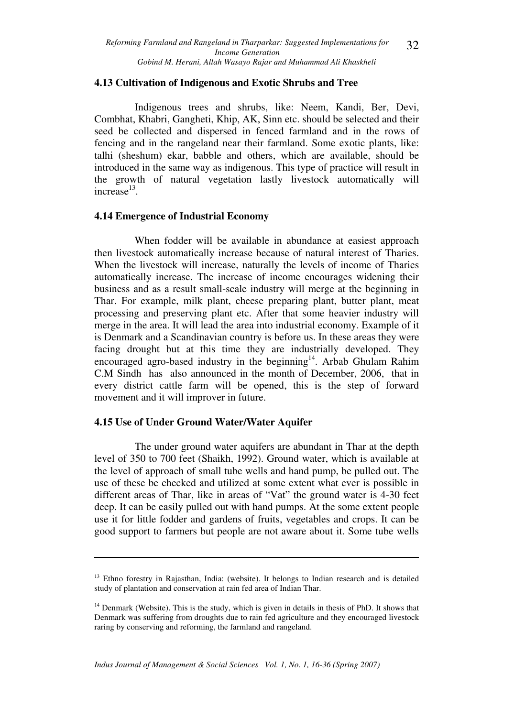#### **4.13 Cultivation of Indigenous and Exotic Shrubs and Tree**

Indigenous trees and shrubs, like: Neem, Kandi, Ber, Devi, Combhat, Khabri, Gangheti, Khip, AK, Sinn etc. should be selected and their seed be collected and dispersed in fenced farmland and in the rows of fencing and in the rangeland near their farmland. Some exotic plants, like: talhi (sheshum) ekar, babble and others, which are available, should be introduced in the same way as indigenous. This type of practice will result in the growth of natural vegetation lastly livestock automatically will  $increase<sup>13</sup>$ .

### **4.14 Emergence of Industrial Economy**

When fodder will be available in abundance at easiest approach then livestock automatically increase because of natural interest of Tharies. When the livestock will increase, naturally the levels of income of Tharies automatically increase. The increase of income encourages widening their business and as a result small-scale industry will merge at the beginning in Thar. For example, milk plant, cheese preparing plant, butter plant, meat processing and preserving plant etc. After that some heavier industry will merge in the area. It will lead the area into industrial economy. Example of it is Denmark and a Scandinavian country is before us. In these areas they were facing drought but at this time they are industrially developed. They encouraged agro-based industry in the beginning<sup>14</sup>. Arbab Ghulam Rahim C.M Sindh has also announced in the month of December, 2006, that in every district cattle farm will be opened, this is the step of forward movement and it will improver in future.

### **4.15 Use of Under Ground Water/Water Aquifer**

 $\overline{a}$ 

The under ground water aquifers are abundant in Thar at the depth level of 350 to 700 feet (Shaikh, 1992). Ground water, which is available at the level of approach of small tube wells and hand pump, be pulled out. The use of these be checked and utilized at some extent what ever is possible in different areas of Thar, like in areas of "Vat" the ground water is 4-30 feet deep. It can be easily pulled out with hand pumps. At the some extent people use it for little fodder and gardens of fruits, vegetables and crops. It can be good support to farmers but people are not aware about it. Some tube wells

<sup>&</sup>lt;sup>13</sup> Ethno forestry in Rajasthan, India: (website). It belongs to Indian research and is detailed study of plantation and conservation at rain fed area of Indian Thar.

<sup>&</sup>lt;sup>14</sup> Denmark (Website). This is the study, which is given in details in thesis of PhD. It shows that Denmark was suffering from droughts due to rain fed agriculture and they encouraged livestock raring by conserving and reforming, the farmland and rangeland.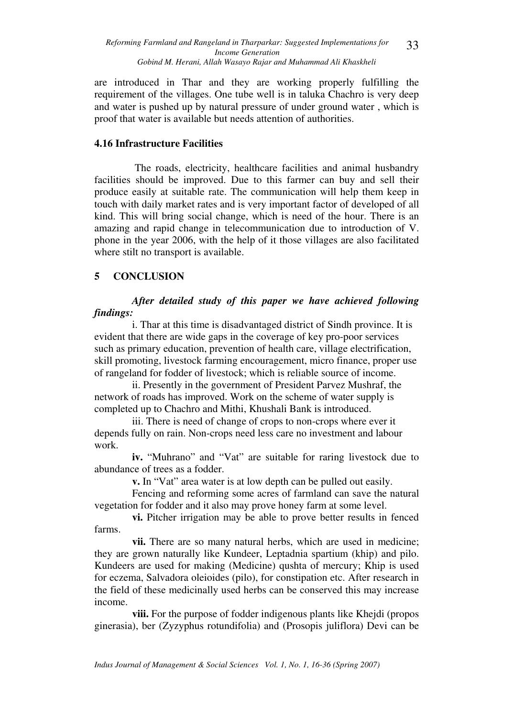are introduced in Thar and they are working properly fulfilling the requirement of the villages. One tube well is in taluka Chachro is very deep and water is pushed up by natural pressure of under ground water , which is proof that water is available but needs attention of authorities.

## **4.16 Infrastructure Facilities**

The roads, electricity, healthcare facilities and animal husbandry facilities should be improved. Due to this farmer can buy and sell their produce easily at suitable rate. The communication will help them keep in touch with daily market rates and is very important factor of developed of all kind. This will bring social change, which is need of the hour. There is an amazing and rapid change in telecommunication due to introduction of V. phone in the year 2006, with the help of it those villages are also facilitated where stilt no transport is available.

## **5 CONCLUSION**

## *After detailed study of this paper we have achieved following findings:*

i. Thar at this time is disadvantaged district of Sindh province. It is evident that there are wide gaps in the coverage of key pro-poor services such as primary education, prevention of health care, village electrification, skill promoting, livestock farming encouragement, micro finance, proper use of rangeland for fodder of livestock; which is reliable source of income.

ii. Presently in the government of President Parvez Mushraf, the network of roads has improved. Work on the scheme of water supply is completed up to Chachro and Mithi, Khushali Bank is introduced.

iii. There is need of change of crops to non-crops where ever it depends fully on rain. Non-crops need less care no investment and labour work.

**iv.** "Muhrano" and "Vat" are suitable for raring livestock due to abundance of trees as a fodder.

**v.** In "Vat" area water is at low depth can be pulled out easily.

Fencing and reforming some acres of farmland can save the natural vegetation for fodder and it also may prove honey farm at some level.

**vi.** Pitcher irrigation may be able to prove better results in fenced farms.

**vii.** There are so many natural herbs, which are used in medicine; they are grown naturally like Kundeer, Leptadnia spartium (khip) and pilo. Kundeers are used for making (Medicine) qushta of mercury; Khip is used for eczema, Salvadora oleioides (pilo), for constipation etc. After research in the field of these medicinally used herbs can be conserved this may increase income.

**viii.** For the purpose of fodder indigenous plants like Khejdi (propos ginerasia), ber (Zyzyphus rotundifolia) and (Prosopis juliflora) Devi can be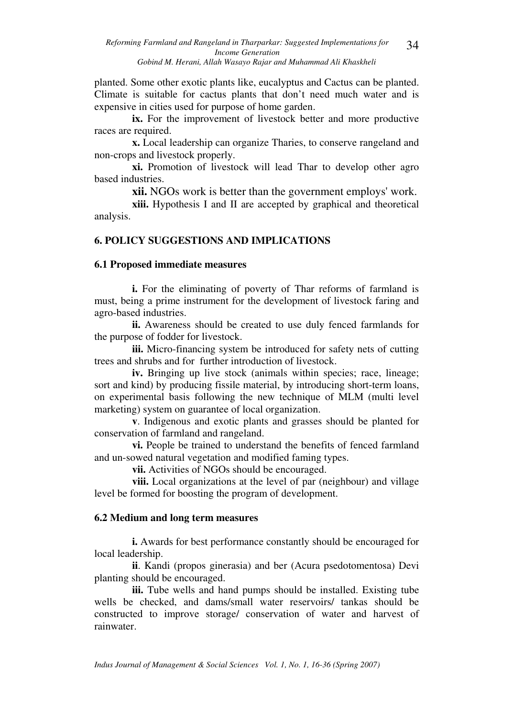planted. Some other exotic plants like, eucalyptus and Cactus can be planted. Climate is suitable for cactus plants that don't need much water and is expensive in cities used for purpose of home garden.

**ix.** For the improvement of livestock better and more productive races are required.

**x.** Local leadership can organize Tharies, to conserve rangeland and non-crops and livestock properly.

**xi.** Promotion of livestock will lead Thar to develop other agro based industries.

**xii.** NGOs work is better than the government employs' work.

**xiii.** Hypothesis I and II are accepted by graphical and theoretical analysis.

### **6. POLICY SUGGESTIONS AND IMPLICATIONS**

#### **6.1 Proposed immediate measures**

**i.** For the eliminating of poverty of Thar reforms of farmland is must, being a prime instrument for the development of livestock faring and agro-based industries.

**ii.** Awareness should be created to use duly fenced farmlands for the purpose of fodder for livestock.

**iii.** Micro-financing system be introduced for safety nets of cutting trees and shrubs and for further introduction of livestock.

iv. Bringing up live stock (animals within species; race, lineage; sort and kind) by producing fissile material, by introducing short-term loans, on experimental basis following the new technique of MLM (multi level marketing) system on guarantee of local organization.

**v**. Indigenous and exotic plants and grasses should be planted for conservation of farmland and rangeland.

**vi.** People be trained to understand the benefits of fenced farmland and un-sowed natural vegetation and modified faming types.

**vii.** Activities of NGOs should be encouraged.

**viii.** Local organizations at the level of par (neighbour) and village level be formed for boosting the program of development.

#### **6.2 Medium and long term measures**

**i.** Awards for best performance constantly should be encouraged for local leadership.

**ii**. Kandi (propos ginerasia) and ber (Acura psedotomentosa) Devi planting should be encouraged.

**iii.** Tube wells and hand pumps should be installed. Existing tube wells be checked, and dams/small water reservoirs/ tankas should be constructed to improve storage/ conservation of water and harvest of rainwater.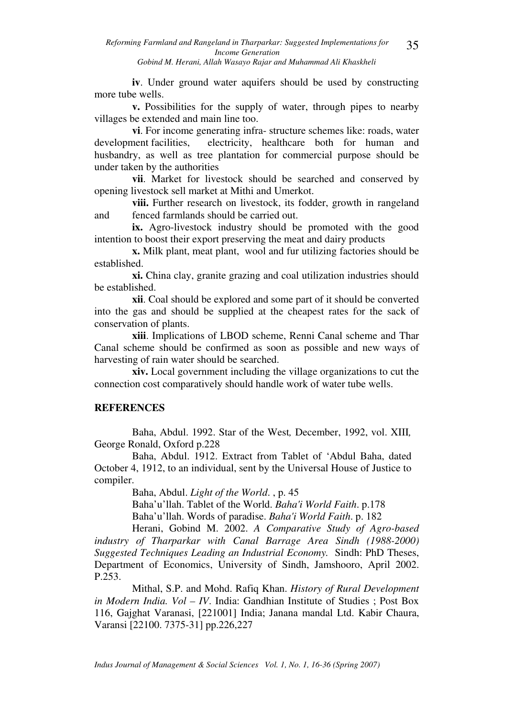**iv**. Under ground water aquifers should be used by constructing more tube wells.

**v.** Possibilities for the supply of water, through pipes to nearby villages be extended and main line too.

**vi**. For income generating infra- structure schemes like: roads, water development facilities, electricity, healthcare both for human and husbandry, as well as tree plantation for commercial purpose should be under taken by the authorities

**vii**. Market for livestock should be searched and conserved by opening livestock sell market at Mithi and Umerkot.

**viii.** Further research on livestock, its fodder, growth in rangeland and fenced farmlands should be carried out.

**ix.** Agro-livestock industry should be promoted with the good intention to boost their export preserving the meat and dairy products

**x.** Milk plant, meat plant, wool and fur utilizing factories should be established.

**xi.** China clay, granite grazing and coal utilization industries should be established.

**xii**. Coal should be explored and some part of it should be converted into the gas and should be supplied at the cheapest rates for the sack of conservation of plants.

**xiii**. Implications of LBOD scheme, Renni Canal scheme and Thar Canal scheme should be confirmed as soon as possible and new ways of harvesting of rain water should be searched.

**xiv.** Local government including the village organizations to cut the connection cost comparatively should handle work of water tube wells.

### **REFERENCES**

Baha, Abdul. 1992. Star of the West*,* December, 1992, vol. XIII*,*  George Ronald, Oxford p.228

Baha, Abdul. 1912. Extract from Tablet of 'Abdul Baha, dated October 4, 1912, to an individual, sent by the Universal House of Justice to compiler.

Baha, Abdul. *Light of the World*. , p. 45

Baha'u'llah. Tablet of the World. *Baha'i World Faith*. p.178

Baha'u'llah. Words of paradise. *Baha'i World Faith*. p. 182

Herani, Gobind M. 2002. *A Comparative Study of Agro-based industry of Tharparkar with Canal Barrage Area Sindh (1988-2000) Suggested Techniques Leading an Industrial Economy.* Sindh: PhD Theses, Department of Economics, University of Sindh, Jamshooro, April 2002. P.253.

Mithal, S.P. and Mohd. Rafiq Khan. *History of Rural Development in Modern India. Vol – IV*. India: Gandhian Institute of Studies ; Post Box 116, Gajghat Varanasi, [221001] India; Janana mandal Ltd. Kabir Chaura, Varansi [22100. 7375-31] pp.226,227